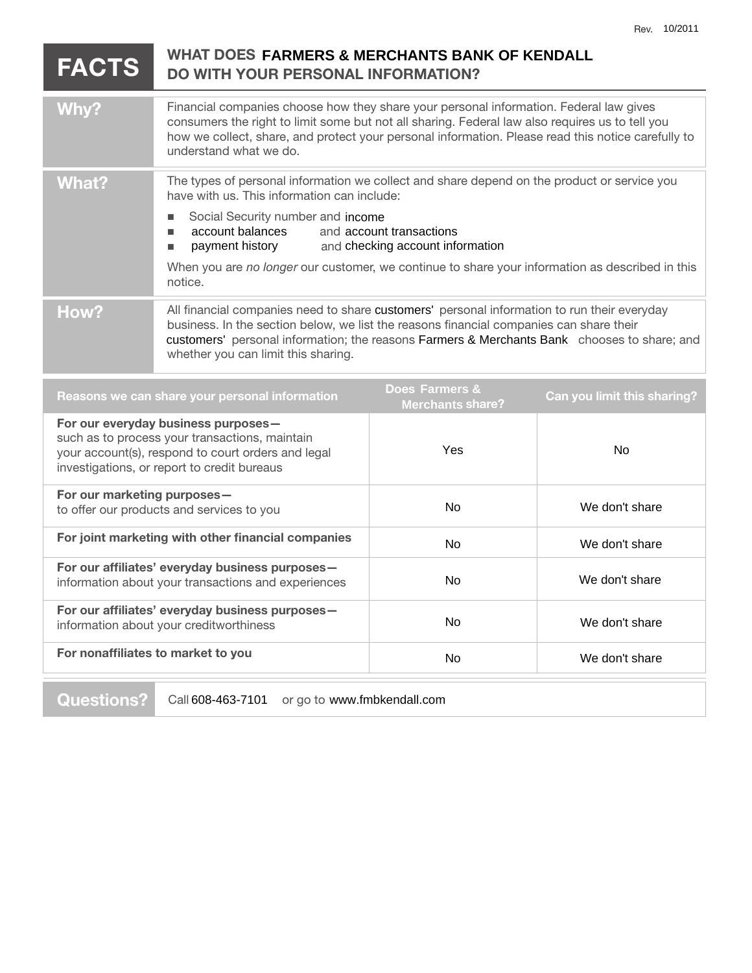| <b>FACTS</b>                                                                                                                                                                               | WHAT DOES FARMERS & MERCHANTS BANK OF KENDALL<br><b>DO WITH YOUR PERSONAL INFORMATION?</b>                                                                                                                                                                                                                                                                                                                       |                                           |                                    |
|--------------------------------------------------------------------------------------------------------------------------------------------------------------------------------------------|------------------------------------------------------------------------------------------------------------------------------------------------------------------------------------------------------------------------------------------------------------------------------------------------------------------------------------------------------------------------------------------------------------------|-------------------------------------------|------------------------------------|
| Why?                                                                                                                                                                                       | Financial companies choose how they share your personal information. Federal law gives<br>consumers the right to limit some but not all sharing. Federal law also requires us to tell you<br>how we collect, share, and protect your personal information. Please read this notice carefully to<br>understand what we do.                                                                                        |                                           |                                    |
| <b>What?</b>                                                                                                                                                                               | The types of personal information we collect and share depend on the product or service you<br>have with us. This information can include:<br>Social Security number and income<br>п<br>account balances<br>and account transactions<br>ш<br>payment history and checking account information<br>٠<br>When you are no longer our customer, we continue to share your information as described in this<br>notice. |                                           |                                    |
| How?                                                                                                                                                                                       | All financial companies need to share customers' personal information to run their everyday<br>business. In the section below, we list the reasons financial companies can share their<br>customers' personal information; the reasons Farmers & Merchants Bank chooses to share; and<br>whether you can limit this sharing.                                                                                     |                                           |                                    |
|                                                                                                                                                                                            | Reasons we can share your personal information                                                                                                                                                                                                                                                                                                                                                                   | Does Farmers &<br><b>Merchants share?</b> | <b>Can you limit this sharing?</b> |
| For our everyday business purposes-<br>such as to process your transactions, maintain<br>your account(s), respond to court orders and legal<br>investigations, or report to credit bureaus |                                                                                                                                                                                                                                                                                                                                                                                                                  | Yes                                       | <b>No</b>                          |
| For our marketing purposes-<br>to offer our products and services to you                                                                                                                   |                                                                                                                                                                                                                                                                                                                                                                                                                  | <b>No</b>                                 | We don't share                     |

| For joint marketing with other financial companies                                                     | No. | We don't share |
|--------------------------------------------------------------------------------------------------------|-----|----------------|
| For our affiliates' everyday business purposes-<br>information about your transactions and experiences | No. | We don't share |
| For our affiliates' everyday business purposes-<br>information about your creditworthiness             | No  | We don't share |
| For nonaffiliates to market to you                                                                     | No  | We don't share |
|                                                                                                        |     |                |

**Questions?** Call 608-463-7101 or go to www.fmbkendall.com